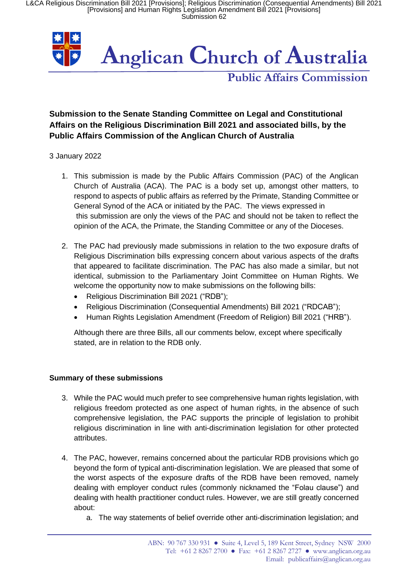L&CA Religious Discrimination Bill 2021 [Provisions]; Religious Discrimination (Consequential Amendments) Bill 2021 [Provisions] and Human Rights Legislation Amendment Bill 2021 [Provisions] Submission 62



# **Public Affairs Commission**

# **Submission to the Senate Standing Committee on Legal and Constitutional Affairs on the Religious Discrimination Bill 2021 and associated bills, by the Public Affairs Commission of the Anglican Church of Australia**

### 3 January 2022

- 1. This submission is made by the Public Affairs Commission (PAC) of the Anglican Church of Australia (ACA). The PAC is a body set up, amongst other matters, to respond to aspects of public affairs as referred by the Primate, Standing Committee or General Synod of the ACA or initiated by the PAC. The views expressed in this submission are only the views of the PAC and should not be taken to reflect the opinion of the ACA, the Primate, the Standing Committee or any of the Dioceses.
- 2. The PAC had previously made submissions in relation to the two exposure drafts of Religious Discrimination bills expressing concern about various aspects of the drafts that appeared to facilitate discrimination. The PAC has also made a similar, but not identical, submission to the Parliamentary Joint Committee on Human Rights. We welcome the opportunity now to make submissions on the following bills:
	- Religious Discrimination Bill 2021 ("RDB");
	- Religious Discrimination (Consequential Amendments) Bill 2021 ("RDCAB");
	- Human Rights Legislation Amendment (Freedom of Religion) Bill 2021 ("HRB").

Although there are three Bills, all our comments below, except where specifically stated, are in relation to the RDB only.

# **Summary of these submissions**

- 3. While the PAC would much prefer to see comprehensive human rights legislation, with religious freedom protected as one aspect of human rights, in the absence of such comprehensive legislation, the PAC supports the principle of legislation to prohibit religious discrimination in line with anti-discrimination legislation for other protected attributes.
- 4. The PAC, however, remains concerned about the particular RDB provisions which go beyond the form of typical anti-discrimination legislation. We are pleased that some of the worst aspects of the exposure drafts of the RDB have been removed, namely dealing with employer conduct rules (commonly nicknamed the "Folau clause") and dealing with health practitioner conduct rules. However, we are still greatly concerned about:
	- a. The way statements of belief override other anti-discrimination legislation; and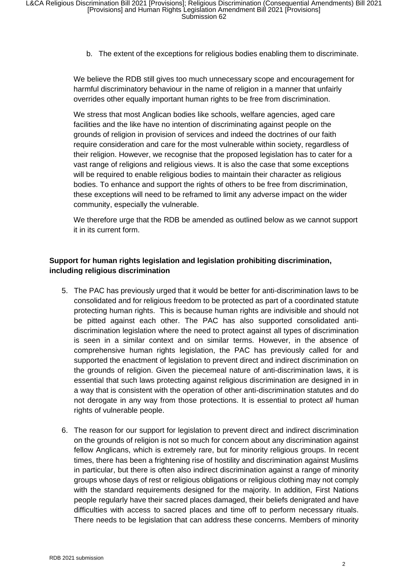b. The extent of the exceptions for religious bodies enabling them to discriminate.

We believe the RDB still gives too much unnecessary scope and encouragement for harmful discriminatory behaviour in the name of religion in a manner that unfairly overrides other equally important human rights to be free from discrimination.

We stress that most Anglican bodies like schools, welfare agencies, aged care facilities and the like have no intention of discriminating against people on the grounds of religion in provision of services and indeed the doctrines of our faith require consideration and care for the most vulnerable within society, regardless of their religion. However, we recognise that the proposed legislation has to cater for a vast range of religions and religious views. It is also the case that some exceptions will be required to enable religious bodies to maintain their character as religious bodies. To enhance and support the rights of others to be free from discrimination, these exceptions will need to be reframed to limit any adverse impact on the wider community, especially the vulnerable.

We therefore urge that the RDB be amended as outlined below as we cannot support it in its current form.

# **Support for human rights legislation and legislation prohibiting discrimination, including religious discrimination**

- 5. The PAC has previously urged that it would be better for anti-discrimination laws to be consolidated and for religious freedom to be protected as part of a coordinated statute protecting human rights. This is because human rights are indivisible and should not be pitted against each other. The PAC has also supported consolidated antidiscrimination legislation where the need to protect against all types of discrimination is seen in a similar context and on similar terms. However, in the absence of comprehensive human rights legislation, the PAC has previously called for and supported the enactment of legislation to prevent direct and indirect discrimination on the grounds of religion. Given the piecemeal nature of anti-discrimination laws, it is essential that such laws protecting against religious discrimination are designed in in a way that is consistent with the operation of other anti-discrimination statutes and do not derogate in any way from those protections. It is essential to protect *all* human rights of vulnerable people.
- 6. The reason for our support for legislation to prevent direct and indirect discrimination on the grounds of religion is not so much for concern about any discrimination against fellow Anglicans, which is extremely rare, but for minority religious groups. In recent times, there has been a frightening rise of hostility and discrimination against Muslims in particular, but there is often also indirect discrimination against a range of minority groups whose days of rest or religious obligations or religious clothing may not comply with the standard requirements designed for the majority. In addition, First Nations people regularly have their sacred places damaged, their beliefs denigrated and have difficulties with access to sacred places and time off to perform necessary rituals. There needs to be legislation that can address these concerns. Members of minority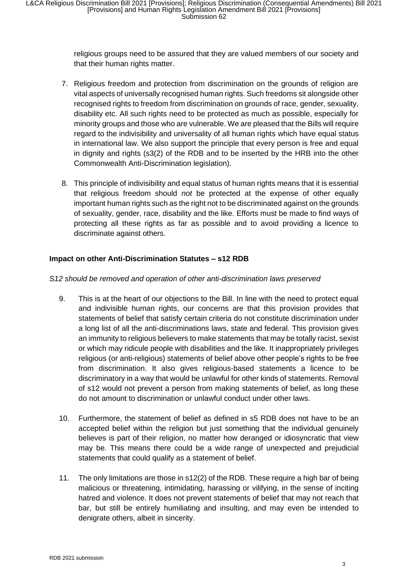religious groups need to be assured that they are valued members of our society and that their human rights matter.

- 7. Religious freedom and protection from discrimination on the grounds of religion are vital aspects of universally recognised human rights. Such freedoms sit alongside other recognised rights to freedom from discrimination on grounds of race, gender, sexuality, disability etc. All such rights need to be protected as much as possible, especially for minority groups and those who are vulnerable. We are pleased that the Bills will require regard to the indivisibility and universality of all human rights which have equal status in international law. We also support the principle that every person is free and equal in dignity and rights (s3(2) of the RDB and to be inserted by the HRB into the other Commonwealth Anti-Discrimination legislation).
- 8. This principle of indivisibility and equal status of human rights means that it is essential that religious freedom should *not* be protected at the expense of other equally important human rights such as the right not to be discriminated against on the grounds of sexuality, gender, race, disability and the like. Efforts must be made to find ways of protecting all these rights as far as possible and to avoid providing a licence to discriminate against others.

### **Impact on other Anti-Discrimination Statutes – s12 RDB**

### *S12 should be removed and operation of other anti-discrimination laws preserved*

- 9. This is at the heart of our objections to the Bill. In line with the need to protect equal and indivisible human rights, our concerns are that this provision provides that statements of belief that satisfy certain criteria do not constitute discrimination under a long list of all the anti-discriminations laws, state and federal. This provision gives an immunity to religious believers to make statements that may be totally racist, sexist or which may ridicule people with disabilities and the like. It inappropriately privileges religious (or anti-religious) statements of belief above other people's rights to be free from discrimination. It also gives religious-based statements a licence to be discriminatory in a way that would be unlawful for other kinds of statements. Removal of s12 would not prevent a person from making statements of belief, as long these do not amount to discrimination or unlawful conduct under other laws.
- 10. Furthermore, the statement of belief as defined in s5 RDB does not have to be an accepted belief within the religion but just something that the individual genuinely believes is part of their religion, no matter how deranged or idiosyncratic that view may be. This means there could be a wide range of unexpected and prejudicial statements that could qualify as a statement of belief.
- 11. The only limitations are those in s12(2) of the RDB. These require a high bar of being malicious or threatening, intimidating, harassing or vilifying, in the sense of inciting hatred and violence. It does not prevent statements of belief that may not reach that bar, but still be entirely humiliating and insulting, and may even be intended to denigrate others, albeit in sincerity.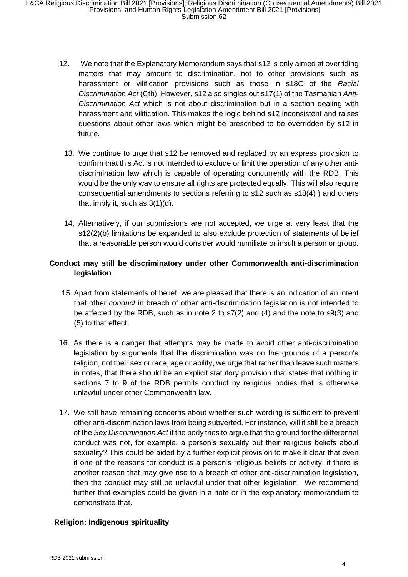- 12. We note that the Explanatory Memorandum says that s12 is only aimed at overriding matters that may amount to discrimination, not to other provisions such as harassment or vilification provisions such as those in s18C of the *Racial Discrimination Act* (Cth). However, s12 also singles out s17(1) of the Tasmanian *Anti-Discrimination Act* which is not about discrimination but in a section dealing with harassment and vilification. This makes the logic behind s12 inconsistent and raises questions about other laws which might be prescribed to be overridden by s12 in future.
	- 13. We continue to urge that s12 be removed and replaced by an express provision to confirm that this Act is not intended to exclude or limit the operation of any other antidiscrimination law which is capable of operating concurrently with the RDB. This would be the only way to ensure all rights are protected equally. This will also require consequential amendments to sections referring to s12 such as s18(4) ) and others that imply it, such as 3(1)(d).
	- 14. Alternatively, if our submissions are not accepted, we urge at very least that the s12(2)(b) limitations be expanded to also exclude protection of statements of belief that a reasonable person would consider would humiliate or insult a person or group.

# **Conduct may still be discriminatory under other Commonwealth anti-discrimination legislation**

- 15. Apart from statements of belief, we are pleased that there is an indication of an intent that other *conduct* in breach of other anti-discrimination legislation is not intended to be affected by the RDB, such as in note 2 to s7(2) and (4) and the note to s9(3) and (5) to that effect.
- 16. As there is a danger that attempts may be made to avoid other anti-discrimination legislation by arguments that the discrimination was on the grounds of a person's religion, not their sex or race, age or ability, we urge that rather than leave such matters in notes, that there should be an explicit statutory provision that states that nothing in sections 7 to 9 of the RDB permits conduct by religious bodies that is otherwise unlawful under other Commonwealth law.
- 17. We still have remaining concerns about whether such wording is sufficient to prevent other anti-discrimination laws from being subverted. For instance, will it still be a breach of the *Sex Discrimination Act* if the body tries to argue that the ground for the differential conduct was not, for example, a person's sexuality but their religious beliefs about sexuality? This could be aided by a further explicit provision to make it clear that even if one of the reasons for conduct is a person's religious beliefs or activity, if there is another reason that may give rise to a breach of other anti-discrimination legislation, then the conduct may still be unlawful under that other legislation. We recommend further that examples could be given in a note or in the explanatory memorandum to demonstrate that.

#### **Religion: Indigenous spirituality**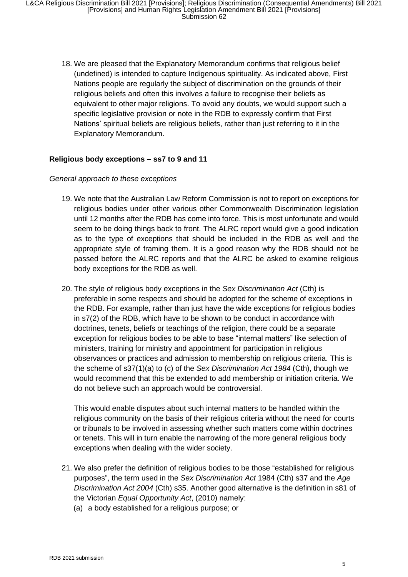18. We are pleased that the Explanatory Memorandum confirms that religious belief (undefined) is intended to capture Indigenous spirituality. As indicated above, First Nations people are regularly the subject of discrimination on the grounds of their religious beliefs and often this involves a failure to recognise their beliefs as equivalent to other major religions. To avoid any doubts, we would support such a specific legislative provision or note in the RDB to expressly confirm that First Nations' spiritual beliefs are religious beliefs, rather than just referring to it in the Explanatory Memorandum.

### **Religious body exceptions – ss7 to 9 and 11**

#### *General approach to these exceptions*

- 19. We note that the Australian Law Reform Commission is not to report on exceptions for religious bodies under other various other Commonwealth Discrimination legislation until 12 months after the RDB has come into force. This is most unfortunate and would seem to be doing things back to front. The ALRC report would give a good indication as to the type of exceptions that should be included in the RDB as well and the appropriate style of framing them. It is a good reason why the RDB should not be passed before the ALRC reports and that the ALRC be asked to examine religious body exceptions for the RDB as well.
- 20. The style of religious body exceptions in the *Sex Discrimination Act* (Cth) is preferable in some respects and should be adopted for the scheme of exceptions in the RDB. For example, rather than just have the wide exceptions for religious bodies in s7(2) of the RDB, which have to be shown to be conduct in accordance with doctrines, tenets, beliefs or teachings of the religion, there could be a separate exception for religious bodies to be able to base "internal matters" like selection of ministers, training for ministry and appointment for participation in religious observances or practices and admission to membership on religious criteria. This is the scheme of s37(1)(a) to (c) of the *Sex Discrimination Act 1984* (Cth), though we would recommend that this be extended to add membership or initiation criteria. We do not believe such an approach would be controversial.

This would enable disputes about such internal matters to be handled within the religious community on the basis of their religious criteria without the need for courts or tribunals to be involved in assessing whether such matters come within doctrines or tenets. This will in turn enable the narrowing of the more general religious body exceptions when dealing with the wider society.

- 21. We also prefer the definition of religious bodies to be those "established for religious purposes", the term used in the *Sex Discrimination Act* 1984 (Cth) s37 and the *Age Discrimination Act 2004* (Cth) s35. Another good alternative is the definition in s81 of the Victorian *Equal Opportunity Act*, (2010) namely:
	- (a) a body established for a religious purpose; or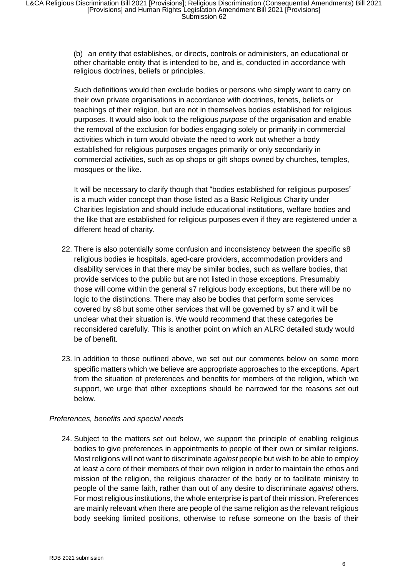(b) an entity that establishes, or directs, controls or administers, an educational or other charitable entity that is intended to be, and is, conducted in accordance with religious doctrines, beliefs or principles.

Such definitions would then exclude bodies or persons who simply want to carry on their own private organisations in accordance with doctrines, tenets, beliefs or teachings of their religion, but are not in themselves bodies established for religious purposes. It would also look to the religious *purpose* of the organisation and enable the removal of the exclusion for bodies engaging solely or primarily in commercial activities which in turn would obviate the need to work out whether a body established for religious purposes engages primarily or only secondarily in commercial activities, such as op shops or gift shops owned by churches, temples, mosques or the like.

It will be necessary to clarify though that "bodies established for religious purposes" is a much wider concept than those listed as a Basic Religious Charity under Charities legislation and should include educational institutions, welfare bodies and the like that are established for religious purposes even if they are registered under a different head of charity.

- 22. There is also potentially some confusion and inconsistency between the specific s8 religious bodies ie hospitals, aged-care providers, accommodation providers and disability services in that there may be similar bodies, such as welfare bodies, that provide services to the public but are not listed in those exceptions. Presumably those will come within the general s7 religious body exceptions, but there will be no logic to the distinctions. There may also be bodies that perform some services covered by s8 but some other services that will be governed by s7 and it will be unclear what their situation is. We would recommend that these categories be reconsidered carefully. This is another point on which an ALRC detailed study would be of benefit.
- 23. In addition to those outlined above, we set out our comments below on some more specific matters which we believe are appropriate approaches to the exceptions. Apart from the situation of preferences and benefits for members of the religion, which we support, we urge that other exceptions should be narrowed for the reasons set out below.

#### *Preferences, benefits and special needs*

24. Subject to the matters set out below, we support the principle of enabling religious bodies to give preferences in appointments to people of their own or similar religions. Most religions will not want to discriminate *against* people but wish to be able to employ at least a core of their members of their own religion in order to maintain the ethos and mission of the religion, the religious character of the body or to facilitate ministry to people of the same faith, rather than out of any desire to discriminate *against* others. For most religious institutions, the whole enterprise is part of their mission. Preferences are mainly relevant when there are people of the same religion as the relevant religious body seeking limited positions, otherwise to refuse someone on the basis of their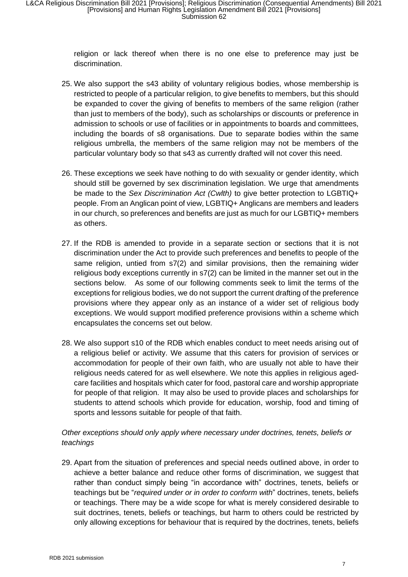religion or lack thereof when there is no one else to preference may just be discrimination.

- 25. We also support the s43 ability of voluntary religious bodies, whose membership is restricted to people of a particular religion, to give benefits to members, but this should be expanded to cover the giving of benefits to members of the same religion (rather than just to members of the body), such as scholarships or discounts or preference in admission to schools or use of facilities or in appointments to boards and committees, including the boards of s8 organisations. Due to separate bodies within the same religious umbrella, the members of the same religion may not be members of the particular voluntary body so that s43 as currently drafted will not cover this need.
- 26. These exceptions we seek have nothing to do with sexuality or gender identity, which should still be governed by sex discrimination legislation. We urge that amendments be made to the *Sex Discrimination Act (Cwlth)* to give better protection to LGBTIQ+ people. From an Anglican point of view, LGBTIQ+ Anglicans are members and leaders in our church, so preferences and benefits are just as much for our LGBTIQ+ members as others.
- 27. If the RDB is amended to provide in a separate section or sections that it is not discrimination under the Act to provide such preferences and benefits to people of the same religion, untied from s7(2) and similar provisions, then the remaining wider religious body exceptions currently in s7(2) can be limited in the manner set out in the sections below. As some of our following comments seek to limit the terms of the exceptions for religious bodies, we do not support the current drafting of the preference provisions where they appear only as an instance of a wider set of religious body exceptions. We would support modified preference provisions within a scheme which encapsulates the concerns set out below.
- 28. We also support s10 of the RDB which enables conduct to meet needs arising out of a religious belief or activity. We assume that this caters for provision of services or accommodation for people of their own faith, who are usually not able to have their religious needs catered for as well elsewhere. We note this applies in religious agedcare facilities and hospitals which cater for food, pastoral care and worship appropriate for people of that religion. It may also be used to provide places and scholarships for students to attend schools which provide for education, worship, food and timing of sports and lessons suitable for people of that faith.

# *Other exceptions should only apply where necessary under doctrines, tenets, beliefs or teachings*

29. Apart from the situation of preferences and special needs outlined above, in order to achieve a better balance and reduce other forms of discrimination, we suggest that rather than conduct simply being "in accordance with" doctrines, tenets, beliefs or teachings but be "*required under or in order to conform with*" doctrines, tenets, beliefs or teachings. There may be a wide scope for what is merely considered desirable to suit doctrines, tenets, beliefs or teachings, but harm to others could be restricted by only allowing exceptions for behaviour that is required by the doctrines, tenets, beliefs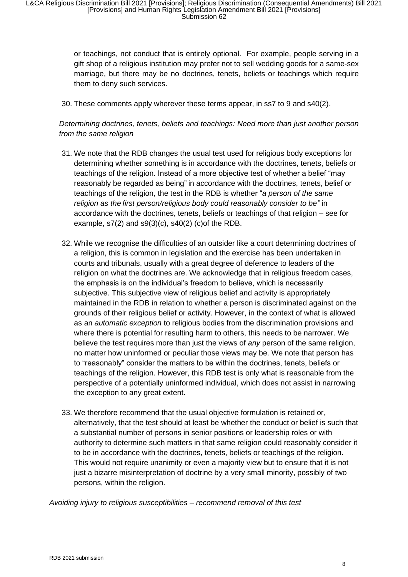or teachings, not conduct that is entirely optional. For example, people serving in a gift shop of a religious institution may prefer not to sell wedding goods for a same-sex marriage, but there may be no doctrines, tenets, beliefs or teachings which require them to deny such services.

30. These comments apply wherever these terms appear, in ss7 to 9 and s40(2).

*Determining doctrines, tenets, beliefs and teachings: Need more than just another person from the same religion* 

- 31. We note that the RDB changes the usual test used for religious body exceptions for determining whether something is in accordance with the doctrines, tenets, beliefs or teachings of the religion. Instead of a more objective test of whether a belief "may reasonably be regarded as being" in accordance with the doctrines, tenets, belief or teachings of the religion, the test in the RDB is whether "*a person of the same religion as the first person/religious body could reasonably consider to be"* in accordance with the doctrines, tenets, beliefs or teachings of that religion – see for example,  $s7(2)$  and  $s9(3)(c)$ ,  $s40(2)$  (c) of the RDB.
- 32. While we recognise the difficulties of an outsider like a court determining doctrines of a religion, this is common in legislation and the exercise has been undertaken in courts and tribunals, usually with a great degree of deference to leaders of the religion on what the doctrines are. We acknowledge that in religious freedom cases, the emphasis is on the individual's freedom to believe, which is necessarily subjective. This subjective view of religious belief and activity is appropriately maintained in the RDB in relation to whether a person is discriminated against on the grounds of their religious belief or activity. However, in the context of what is allowed as an *automatic exception* to religious bodies from the discrimination provisions and where there is potential for resulting harm to others, this needs to be narrower. We believe the test requires more than just the views of *any* person of the same religion, no matter how uninformed or peculiar those views may be. We note that person has to "reasonably" consider the matters to be within the doctrines, tenets, beliefs or teachings of the religion. However, this RDB test is only what is reasonable from the perspective of a potentially uninformed individual, which does not assist in narrowing the exception to any great extent.
- 33. We therefore recommend that the usual objective formulation is retained or, alternatively, that the test should at least be whether the conduct or belief is such that a substantial number of persons in senior positions or leadership roles or with authority to determine such matters in that same religion could reasonably consider it to be in accordance with the doctrines, tenets, beliefs or teachings of the religion. This would not require unanimity or even a majority view but to ensure that it is not just a bizarre misinterpretation of doctrine by a very small minority, possibly of two persons, within the religion.

*Avoiding injury to religious susceptibilities – recommend removal of this test*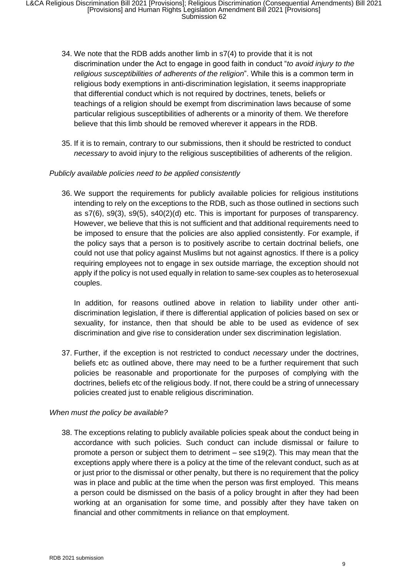- 34. We note that the RDB adds another limb in s7(4) to provide that it is not discrimination under the Act to engage in good faith in conduct "*to avoid injury to the religious susceptibilities of adherents of the religion*". While this is a common term in religious body exemptions in anti-discrimination legislation, it seems inappropriate that differential conduct which is not required by doctrines, tenets, beliefs or teachings of a religion should be exempt from discrimination laws because of some particular religious susceptibilities of adherents or a minority of them. We therefore believe that this limb should be removed wherever it appears in the RDB.
- 35. If it is to remain, contrary to our submissions, then it should be restricted to conduct *necessary* to avoid injury to the religious susceptibilities of adherents of the religion.

### *Publicly available policies need to be applied consistently*

36. We support the requirements for publicly available policies for religious institutions intending to rely on the exceptions to the RDB, such as those outlined in sections such as s7(6), s9(3), s9(5), s40(2)(d) etc. This is important for purposes of transparency. However, we believe that this is not sufficient and that additional requirements need to be imposed to ensure that the policies are also applied consistently. For example, if the policy says that a person is to positively ascribe to certain doctrinal beliefs, one could not use that policy against Muslims but not against agnostics. If there is a policy requiring employees not to engage in sex outside marriage, the exception should not apply if the policy is not used equally in relation to same-sex couples as to heterosexual couples.

In addition, for reasons outlined above in relation to liability under other antidiscrimination legislation, if there is differential application of policies based on sex or sexuality, for instance, then that should be able to be used as evidence of sex discrimination and give rise to consideration under sex discrimination legislation.

37. Further, if the exception is not restricted to conduct *necessary* under the doctrines, beliefs etc as outlined above, there may need to be a further requirement that such policies be reasonable and proportionate for the purposes of complying with the doctrines, beliefs etc of the religious body. If not, there could be a string of unnecessary policies created just to enable religious discrimination.

#### *When must the policy be available?*

38. The exceptions relating to publicly available policies speak about the conduct being in accordance with such policies. Such conduct can include dismissal or failure to promote a person or subject them to detriment – see s19(2). This may mean that the exceptions apply where there is a policy at the time of the relevant conduct, such as at or just prior to the dismissal or other penalty, but there is no requirement that the policy was in place and public at the time when the person was first employed. This means a person could be dismissed on the basis of a policy brought in after they had been working at an organisation for some time, and possibly after they have taken on financial and other commitments in reliance on that employment.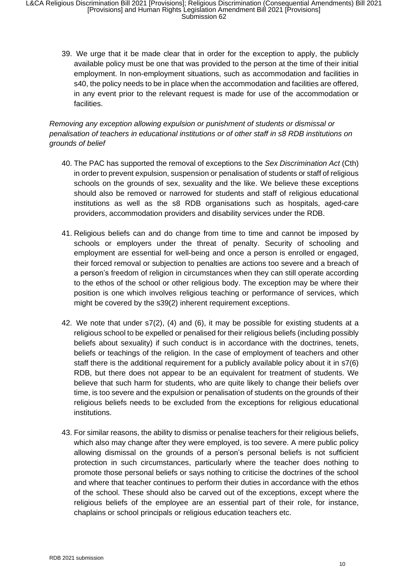L&CA Religious Discrimination Bill 2021 [Provisions]; Religious Discrimination (Consequential Amendments) Bill 2021 [Provisions] and Human Rights Legislation Amendment Bill 2021 [Provisions] Submission 62

39. We urge that it be made clear that in order for the exception to apply, the publicly available policy must be one that was provided to the person at the time of their initial employment. In non-employment situations, such as accommodation and facilities in s40, the policy needs to be in place when the accommodation and facilities are offered, in any event prior to the relevant request is made for use of the accommodation or facilities.

*Removing any exception allowing expulsion or punishment of students or dismissal or penalisation of teachers in educational institutions or of other staff in s8 RDB institutions on grounds of belief*

- 40. The PAC has supported the removal of exceptions to the *Sex Discrimination Act* (Cth) in order to prevent expulsion, suspension or penalisation of students or staff of religious schools on the grounds of sex, sexuality and the like. We believe these exceptions should also be removed or narrowed for students and staff of religious educational institutions as well as the s8 RDB organisations such as hospitals, aged-care providers, accommodation providers and disability services under the RDB.
- 41. Religious beliefs can and do change from time to time and cannot be imposed by schools or employers under the threat of penalty. Security of schooling and employment are essential for well-being and once a person is enrolled or engaged, their forced removal or subjection to penalties are actions too severe and a breach of a person's freedom of religion in circumstances when they can still operate according to the ethos of the school or other religious body. The exception may be where their position is one which involves religious teaching or performance of services, which might be covered by the s39(2) inherent requirement exceptions.
- 42. We note that under s7(2), (4) and (6), it may be possible for existing students at a religious school to be expelled or penalised for their religious beliefs (including possibly beliefs about sexuality) if such conduct is in accordance with the doctrines, tenets, beliefs or teachings of the religion. In the case of employment of teachers and other staff there is the additional requirement for a publicly available policy about it in s7(6) RDB, but there does not appear to be an equivalent for treatment of students. We believe that such harm for students, who are quite likely to change their beliefs over time, is too severe and the expulsion or penalisation of students on the grounds of their religious beliefs needs to be excluded from the exceptions for religious educational institutions.
- 43. For similar reasons, the ability to dismiss or penalise teachers for their religious beliefs, which also may change after they were employed, is too severe. A mere public policy allowing dismissal on the grounds of a person's personal beliefs is not sufficient protection in such circumstances, particularly where the teacher does nothing to promote those personal beliefs or says nothing to criticise the doctrines of the school and where that teacher continues to perform their duties in accordance with the ethos of the school. These should also be carved out of the exceptions, except where the religious beliefs of the employee are an essential part of their role, for instance, chaplains or school principals or religious education teachers etc.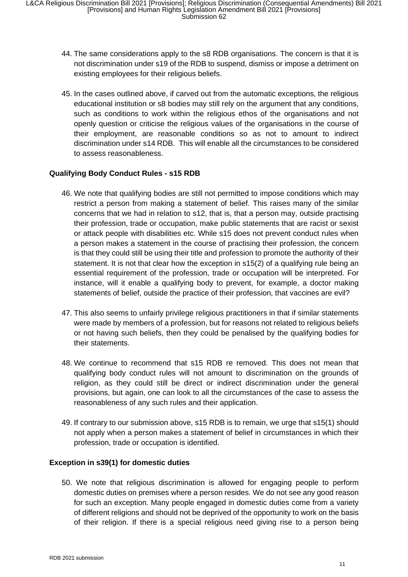- 44. The same considerations apply to the s8 RDB organisations. The concern is that it is not discrimination under s19 of the RDB to suspend, dismiss or impose a detriment on existing employees for their religious beliefs.
- 45. In the cases outlined above, if carved out from the automatic exceptions, the religious educational institution or s8 bodies may still rely on the argument that any conditions, such as conditions to work within the religious ethos of the organisations and not openly question or criticise the religious values of the organisations in the course of their employment, are reasonable conditions so as not to amount to indirect discrimination under s14 RDB. This will enable all the circumstances to be considered to assess reasonableness.

### **Qualifying Body Conduct Rules - s15 RDB**

- 46. We note that qualifying bodies are still not permitted to impose conditions which may restrict a person from making a statement of belief. This raises many of the similar concerns that we had in relation to s12, that is, that a person may, outside practising their profession, trade or occupation, make public statements that are racist or sexist or attack people with disabilities etc. While s15 does not prevent conduct rules when a person makes a statement in the course of practising their profession, the concern is that they could still be using their title and profession to promote the authority of their statement. It is not that clear how the exception in s15(2) of a qualifying rule being an essential requirement of the profession, trade or occupation will be interpreted. For instance, will it enable a qualifying body to prevent, for example, a doctor making statements of belief, outside the practice of their profession, that vaccines are evil?
- 47. This also seems to unfairly privilege religious practitioners in that if similar statements were made by members of a profession, but for reasons not related to religious beliefs or not having such beliefs, then they could be penalised by the qualifying bodies for their statements.
- 48. We continue to recommend that s15 RDB re removed. This does not mean that qualifying body conduct rules will not amount to discrimination on the grounds of religion, as they could still be direct or indirect discrimination under the general provisions, but again, one can look to all the circumstances of the case to assess the reasonableness of any such rules and their application.
- 49. If contrary to our submission above, s15 RDB is to remain, we urge that s15(1) should not apply when a person makes a statement of belief in circumstances in which their profession, trade or occupation is identified.

#### **Exception in s39(1) for domestic duties**

50. We note that religious discrimination is allowed for engaging people to perform domestic duties on premises where a person resides. We do not see any good reason for such an exception. Many people engaged in domestic duties come from a variety of different religions and should not be deprived of the opportunity to work on the basis of their religion. If there is a special religious need giving rise to a person being